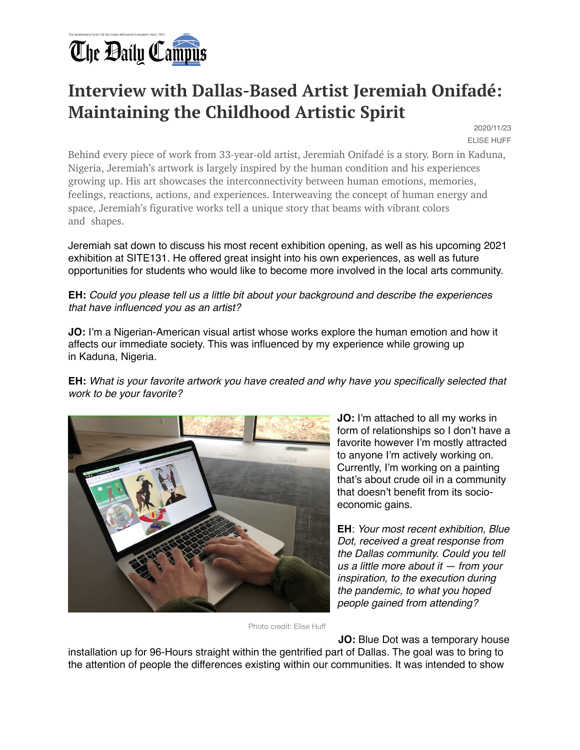

## **Interview with Dallas-Based Artist Jeremiah Onifadé: Maintaining the Childhood Artistic Spirit**

2020/11/23 ELISE HUFF

Behind every piece of work from 33-year-old artist, Jeremiah Onifadé is a story. Born in Kaduna, Nigeria, Jeremiah's artwork is largely inspired by the human condition and his experiences growing up. His art showcases the interconnectivity between human emotions, memories, feelings, reactions, actions, and experiences. Interweaving the concept of human energy and space, Jeremiah's figurative works tell a unique story that beams with vibrant colors and shapes.

Jeremiah sat down to discuss his most recent exhibition opening, as well as his upcoming 2021 exhibition at SITE131. He offered great insight into his own experiences, as well as future opportunities for students who would like to become more involved in the local arts community.

**EH:** *Could you please tell us a little bit about your background and describe the experiences that have influenced you as an artist?*

**JO:** I'm a Nigerian-American visual artist whose works explore the human emotion and how it affects our immediate society. This was influenced by my experience while growing up in Kaduna, Nigeria.

**EH:** *What is your favorite artwork you have created and why have you specifically selected that work to be your favorite?*



**JO:** I'm attached to all my works in form of relationships so I don't have a favorite however I'm mostly attracted to anyone I'm actively working on. Currently, I'm working on a painting that's about crude oil in a community that doesn't benefit from its socioeconomic gains.

**EH**: *Your most recent exhibition, Blue Dot, received a great response from the Dallas community. Could you tell us a little more about it — from your inspiration, to the execution during the pandemic, to what you hoped people gained from attending?*

Photo credit: Elise Huff

**JO:** Blue Dot was a temporary house

installation up for 96-Hours straight within the gentrified part of Dallas. The goal was to bring to the attention of people the differences existing within our communities. It was intended to show